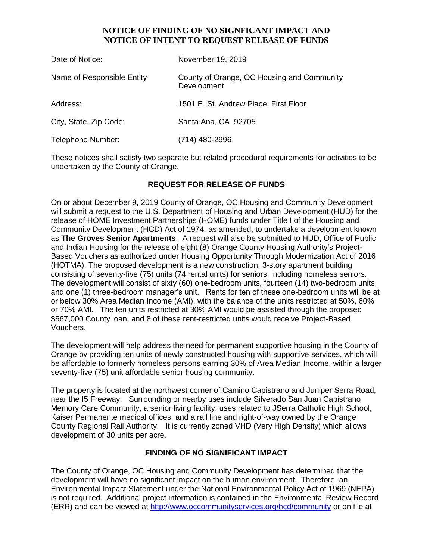# **NOTICE OF FINDING OF NO SIGNFICANT IMPACT AND NOTICE OF INTENT TO REQUEST RELEASE OF FUNDS**

| Date of Notice:            | November 19, 2019                                         |
|----------------------------|-----------------------------------------------------------|
| Name of Responsible Entity | County of Orange, OC Housing and Community<br>Development |
| Address:                   | 1501 E. St. Andrew Place, First Floor                     |
| City, State, Zip Code:     | Santa Ana, CA 92705                                       |
| Telephone Number:          | (714) 480-2996                                            |

These notices shall satisfy two separate but related procedural requirements for activities to be undertaken by the County of Orange.

# **REQUEST FOR RELEASE OF FUNDS**

On or about December 9, 2019 County of Orange, OC Housing and Community Development will submit a request to the U.S. Department of Housing and Urban Development (HUD) for the release of HOME Investment Partnerships (HOME) funds under Title I of the Housing and Community Development (HCD) Act of 1974, as amended, to undertake a development known as **The Groves Senior Apartments**. A request will also be submitted to HUD, Office of Public and Indian Housing for the release of eight (8) Orange County Housing Authority's Project-Based Vouchers as authorized under Housing Opportunity Through Modernization Act of 2016 (HOTMA). The proposed development is a new construction, 3-story apartment building consisting of seventy-five (75) units (74 rental units) for seniors, including homeless seniors. The development will consist of sixty (60) one-bedroom units, fourteen (14) two-bedroom units and one (1) three-bedroom manager's unit. Rents for ten of these one-bedroom units will be at or below 30% Area Median Income (AMI), with the balance of the units restricted at 50%, 60% or 70% AMI. The ten units restricted at 30% AMI would be assisted through the proposed \$567,000 County loan, and 8 of these rent-restricted units would receive Project-Based Vouchers.

The development will help address the need for permanent supportive housing in the County of Orange by providing ten units of newly constructed housing with supportive services, which will be affordable to formerly homeless persons earning 30% of Area Median Income, within a larger seventy-five (75) unit affordable senior housing community.

The property is located at the northwest corner of Camino Capistrano and Juniper Serra Road, near the I5 Freeway. Surrounding or nearby uses include Silverado San Juan Capistrano Memory Care Community, a senior living facility; uses related to JSerra Catholic High School, Kaiser Permanente medical offices, and a rail line and right-of-way owned by the Orange County Regional Rail Authority. It is currently zoned VHD (Very High Density) which allows development of 30 units per acre.

## **FINDING OF NO SIGNIFICANT IMPACT**

The County of Orange, OC Housing and Community Development has determined that the development will have no significant impact on the human environment. Therefore, an Environmental Impact Statement under the National Environmental Policy Act of 1969 (NEPA) is not required. Additional project information is contained in the Environmental Review Record (ERR) and can be viewed at<http://www.occommunityservices.org/hcd/community> or on file at